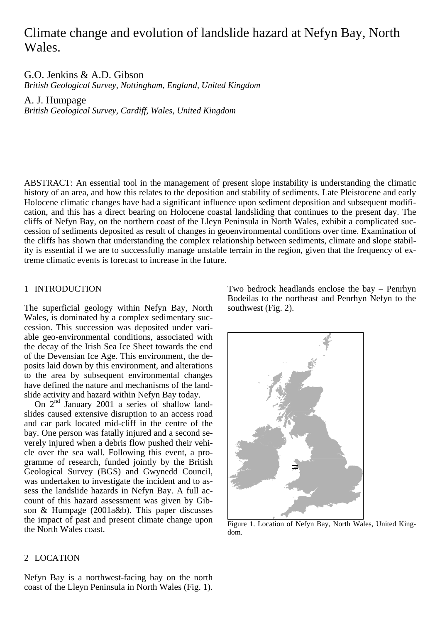# Climate change and evolution of landslide hazard at Nefyn Bay, North Wales.

G.O. Jenkins & A.D. Gibson

*British Geological Survey, Nottingham, England, United Kingdom* 

A. J. Humpage

*British Geological Survey, Cardiff, Wales, United Kingdom* 

ABSTRACT: An essential tool in the management of present slope instability is understanding the climatic history of an area, and how this relates to the deposition and stability of sediments. Late Pleistocene and early Holocene climatic changes have had a significant influence upon sediment deposition and subsequent modification, and this has a direct bearing on Holocene coastal landsliding that continues to the present day. The cliffs of Nefyn Bay, on the northern coast of the Lleyn Peninsula in North Wales, exhibit a complicated succession of sediments deposited as result of changes in geoenvironmental conditions over time. Examination of the cliffs has shown that understanding the complex relationship between sediments, climate and slope stability is essential if we are to successfully manage unstable terrain in the region, given that the frequency of extreme climatic events is forecast to increase in the future.

## 1 INTRODUCTION

The superficial geology within Nefyn Bay, North Wales, is dominated by a complex sedimentary succession. This succession was deposited under variable geo-environmental conditions, associated with the decay of the Irish Sea Ice Sheet towards the end of the Devensian Ice Age. This environment, the deposits laid down by this environment, and alterations to the area by subsequent environmental changes have defined the nature and mechanisms of the landslide activity and hazard within Nefyn Bay today.

On 2nd January 2001 a series of shallow landslides caused extensive disruption to an access road and car park located mid-cliff in the centre of the bay. One person was fatally injured and a second severely injured when a debris flow pushed their vehicle over the sea wall. Following this event, a programme of research, funded jointly by the British Geological Survey (BGS) and Gwynedd Council, was undertaken to investigate the incident and to assess the landslide hazards in Nefyn Bay. A full account of this hazard assessment was given by Gibson & Humpage (2001a&b). This paper discusses the impact of past and present climate change upon the North Wales coast.

# 2 LOCATION

Nefyn Bay is a northwest-facing bay on the north coast of the Lleyn Peninsula in North Wales (Fig. 1). Two bedrock headlands enclose the bay – Penrhyn Bodeilas to the northeast and Penrhyn Nefyn to the southwest (Fig. 2).



Figure 1. Location of Nefyn Bay, North Wales, United Kingdom.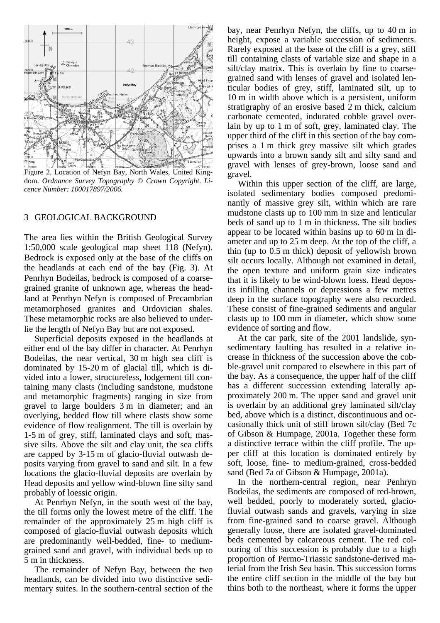

Figure 2. Location of Nefyn Bay, North Wales, United Kingdom. *Ordnance Survey Topography © Crown Copyright*. *Licence Number: 100017897/2006.* 

## 3 GEOLOGICAL BACKGROUND

The area lies within the British Geological Survey 1:50,000 scale geological map sheet 118 (Nefyn). Bedrock is exposed only at the base of the cliffs on the headlands at each end of the bay (Fig. 3). At Penrhyn Bodeilas, bedrock is composed of a coarsegrained granite of unknown age, whereas the headland at Penrhyn Nefyn is composed of Precambrian metamorphosed granites and Ordovician shales. These metamorphic rocks are also believed to underlie the length of Nefyn Bay but are not exposed.

Superficial deposits exposed in the headlands at either end of the bay differ in character. At Penrhyn Bodeilas, the near vertical, 30 m high sea cliff is dominated by 15-20 m of glacial till, which is divided into a lower, structureless, lodgement till containing many clasts (including sandstone, mudstone and metamorphic fragments) ranging in size from gravel to large boulders 3 m in diameter; and an overlying, bedded flow till where clasts show some evidence of flow realignment. The till is overlain by 1-5 m of grey, stiff, laminated clays and soft, massive silts. Above the silt and clay unit, the sea cliffs are capped by 3-15 m of glacio-fluvial outwash deposits varying from gravel to sand and silt. In a few locations the glacio-fluvial deposits are overlain by Head deposits and yellow wind-blown fine silty sand probably of loessic origin.

At Penrhyn Nefyn, in the south west of the bay, the till forms only the lowest metre of the cliff. The remainder of the approximately 25 m high cliff is composed of glacio-fluvial outwash deposits which are predominantly well-bedded, fine- to mediumgrained sand and gravel, with individual beds up to 5 m in thickness.

The remainder of Nefyn Bay, between the two headlands, can be divided into two distinctive sedimentary suites. In the southern-central section of the bay, near Penrhyn Nefyn, the cliffs, up to 40 m in height, expose a variable succession of sediments. Rarely exposed at the base of the cliff is a grey, stiff till containing clasts of variable size and shape in a silt/clay matrix. This is overlain by fine to coarsegrained sand with lenses of gravel and isolated lenticular bodies of grey, stiff, laminated silt, up to 10 m in width above which is a persistent, uniform stratigraphy of an erosive based 2 m thick, calcium carbonate cemented, indurated cobble gravel overlain by up to 1 m of soft, grey, laminated clay. The upper third of the cliff in this section of the bay comprises a 1 m thick grey massive silt which grades upwards into a brown sandy silt and silty sand and gravel with lenses of grey-brown, loose sand and gravel.

Within this upper section of the cliff, are large, isolated sedimentary bodies composed predominantly of massive grey silt, within which are rare mudstone clasts up to 100 mm in size and lenticular beds of sand up to 1 m in thickness. The silt bodies appear to be located within basins up to 60 m in diameter and up to 25 m deep. At the top of the cliff, a thin (up to 0.5 m thick) deposit of yellowish brown silt occurs locally. Although not examined in detail, the open texture and uniform grain size indicates that it is likely to be wind-blown loess. Head deposits infilling channels or depressions a few metres deep in the surface topography were also recorded. These consist of fine-grained sediments and angular clasts up to 100 mm in diameter, which show some evidence of sorting and flow.

At the car park, site of the 2001 landslide, synsedimentary faulting has resulted in a relative increase in thickness of the succession above the cobble-gravel unit compared to elsewhere in this part of the bay. As a consequence, the upper half of the cliff has a different succession extending laterally approximately 200 m. The upper sand and gravel unit is overlain by an additional grey laminated silt/clay bed, above which is a distinct, discontinuous and occasionally thick unit of stiff brown silt/clay (Bed 7c of Gibson & Humpage, 2001a. Together these form a distinctive terrace within the cliff profile. The upper cliff at this location is dominated entirely by soft, loose, fine- to medium-grained, cross-bedded sand (Bed 7a of Gibson & Humpage, 2001a).

In the northern-central region, near Penhryn Bodeilas, the sediments are composed of red-brown, well bedded, poorly to moderately sorted, glaciofluvial outwash sands and gravels, varying in size from fine-grained sand to coarse gravel. Although generally loose, there are isolated gravel-dominated beds cemented by calcareous cement. The red colouring of this succession is probably due to a high proportion of Permo-Triassic sandstone-derived material from the Irish Sea basin. This succession forms the entire cliff section in the middle of the bay but thins both to the northeast, where it forms the upper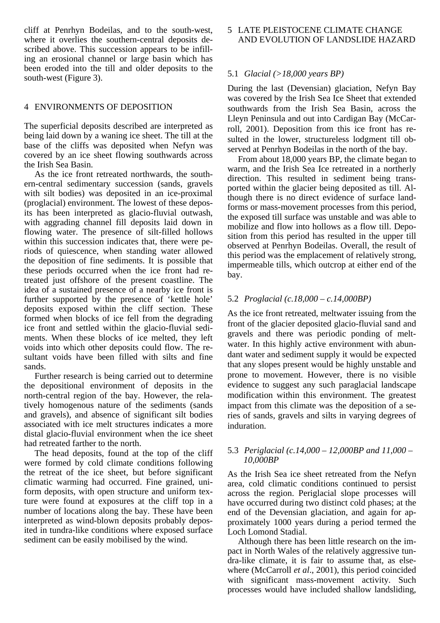cliff at Penrhyn Bodeilas, and to the south-west, where it overlies the southern-central deposits described above. This succession appears to be infilling an erosional channel or large basin which has been eroded into the till and older deposits to the south-west (Figure 3).

## 4 ENVIRONMENTS OF DEPOSITION

The superficial deposits described are interpreted as being laid down by a waning ice sheet. The till at the base of the cliffs was deposited when Nefyn was covered by an ice sheet flowing southwards across the Irish Sea Basin.

As the ice front retreated northwards, the southern-central sedimentary succession (sands, gravels with silt bodies) was deposited in an ice-proximal (proglacial) environment. The lowest of these deposits has been interpreted as glacio-fluvial outwash, with aggrading channel fill deposits laid down in flowing water. The presence of silt-filled hollows within this succession indicates that, there were periods of quiescence, when standing water allowed the deposition of fine sediments. It is possible that these periods occurred when the ice front had retreated just offshore of the present coastline. The idea of a sustained presence of a nearby ice front is further supported by the presence of 'kettle hole' deposits exposed within the cliff section. These formed when blocks of ice fell from the degrading ice front and settled within the glacio-fluvial sediments. When these blocks of ice melted, they left voids into which other deposits could flow. The resultant voids have been filled with silts and fine sands.

Further research is being carried out to determine the depositional environment of deposits in the north-central region of the bay. However, the relatively homogenous nature of the sediments (sands and gravels), and absence of significant silt bodies associated with ice melt structures indicates a more distal glacio-fluvial environment when the ice sheet had retreated farther to the north.

The head deposits, found at the top of the cliff were formed by cold climate conditions following the retreat of the ice sheet, but before significant climatic warming had occurred. Fine grained, uniform deposits, with open structure and uniform texture were found at exposures at the cliff top in a number of locations along the bay. These have been interpreted as wind-blown deposits probably deposited in tundra-like conditions where exposed surface sediment can be easily mobilised by the wind.

# 5 LATE PLEISTOCENE CLIMATE CHANGE AND EVOLUTION OF LANDSLIDE HAZARD

# 5.1 *Glacial (>18,000 years BP)*

During the last (Devensian) glaciation, Nefyn Bay was covered by the Irish Sea Ice Sheet that extended southwards from the Irish Sea Basin, across the Lleyn Peninsula and out into Cardigan Bay (McCarroll, 2001). Deposition from this ice front has resulted in the lower, structureless lodgment till observed at Penrhyn Bodeilas in the north of the bay.

From about 18,000 years BP, the climate began to warm, and the Irish Sea Ice retreated in a northerly direction. This resulted in sediment being transported within the glacier being deposited as till. Although there is no direct evidence of surface landforms or mass-movement processes from this period, the exposed till surface was unstable and was able to mobilize and flow into hollows as a flow till. Deposition from this period has resulted in the upper till observed at Penrhyn Bodeilas. Overall, the result of this period was the emplacement of relatively strong, impermeable tills, which outcrop at either end of the bay.

# 5.2 *Proglacial (c.18,000 – c.14,000BP)*

As the ice front retreated, meltwater issuing from the front of the glacier deposited glacio-fluvial sand and gravels and there was periodic ponding of meltwater. In this highly active environment with abundant water and sediment supply it would be expected that any slopes present would be highly unstable and prone to movement. However, there is no visible evidence to suggest any such paraglacial landscape modification within this environment. The greatest impact from this climate was the deposition of a series of sands, gravels and silts in varying degrees of induration.

## 5.3 *Periglacial (c.14,000 – 12,000BP and 11,000 – 10,000BP*

As the Irish Sea ice sheet retreated from the Nefyn area, cold climatic conditions continued to persist across the region. Periglacial slope processes will have occurred during two distinct cold phases; at the end of the Devensian glaciation, and again for approximately 1000 years during a period termed the Loch Lomond Stadial.

Although there has been little research on the impact in North Wales of the relatively aggressive tundra-like climate, it is fair to assume that, as elsewhere (McCarroll *et al*., 2001), this period coincided with significant mass-movement activity. Such processes would have included shallow landsliding,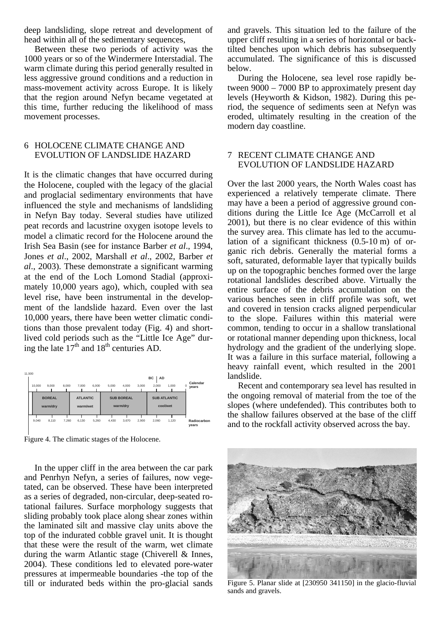deep landsliding, slope retreat and development of head within all of the sedimentary sequences,

Between these two periods of activity was the 1000 years or so of the Windermere Interstadial. The warm climate during this period generally resulted in less aggressive ground conditions and a reduction in mass-movement activity across Europe. It is likely that the region around Nefyn became vegetated at this time, further reducing the likelihood of mass movement processes.

## 6 HOLOCENE CLIMATE CHANGE AND EVOLUTION OF LANDSLIDE HAZARD

It is the climatic changes that have occurred during the Holocene, coupled with the legacy of the glacial and proglacial sedimentary environments that have influenced the style and mechanisms of landsliding in Nefyn Bay today. Several studies have utilized peat records and lacustrine oxygen isotope levels to model a climatic record for the Holocene around the Irish Sea Basin (see for instance Barber *et al*., 1994, Jones *et al*., 2002, Marshall *et al*., 2002, Barber *et al*., 2003). These demonstrate a significant warming at the end of the Loch Lomond Stadial (approximately 10,000 years ago), which, coupled with sea level rise, have been instrumental in the development of the landslide hazard. Even over the last 10,000 years, there have been wetter climatic conditions than those prevalent today (Fig. 4) and shortlived cold periods such as the "Little Ice Age" during the late  $17<sup>th</sup>$  and  $18<sup>th</sup>$  centuries AD.



Figure 4. The climatic stages of the Holocene.

In the upper cliff in the area between the car park and Penrhyn Nefyn, a series of failures, now vegetated, can be observed. These have been interpreted as a series of degraded, non-circular, deep-seated rotational failures. Surface morphology suggests that sliding probably took place along shear zones within the laminated silt and massive clay units above the top of the indurated cobble gravel unit. It is thought that these were the result of the warm, wet climate during the warm Atlantic stage (Chiverell & Innes, 2004). These conditions led to elevated pore-water pressures at impermeable boundaries -the top of the till or indurated beds within the pro-glacial sands and gravels. This situation led to the failure of the upper cliff resulting in a series of horizontal or backtilted benches upon which debris has subsequently accumulated. The significance of this is discussed below.

During the Holocene, sea level rose rapidly between 9000 – 7000 BP to approximately present day levels (Heyworth & Kidson, 1982). During this period, the sequence of sediments seen at Nefyn was eroded, ultimately resulting in the creation of the modern day coastline.

## 7 RECENT CLIMATE CHANGE AND EVOLUTION OF LANDSLIDE HAZARD

Over the last 2000 years, the North Wales coast has experienced a relatively temperate climate. There may have a been a period of aggressive ground conditions during the Little Ice Age (McCarroll et al 2001), but there is no clear evidence of this within the survey area. This climate has led to the accumulation of a significant thickness (0.5-10 m) of organic rich debris. Generally the material forms a soft, saturated, deformable layer that typically builds up on the topographic benches formed over the large rotational landslides described above. Virtually the entire surface of the debris accumulation on the various benches seen in cliff profile was soft, wet and covered in tension cracks aligned perpendicular to the slope. Failures within this material were common, tending to occur in a shallow translational or rotational manner depending upon thickness, local hydrology and the gradient of the underlying slope. It was a failure in this surface material, following a heavy rainfall event, which resulted in the 2001 landslide.

Recent and contemporary sea level has resulted in the ongoing removal of material from the toe of the slopes (where undefended). This contributes both to the shallow failures observed at the base of the cliff and to the rockfall activity observed across the bay.



Figure 5. Planar slide at [230950 341150] in the glacio-fluvial sands and gravels.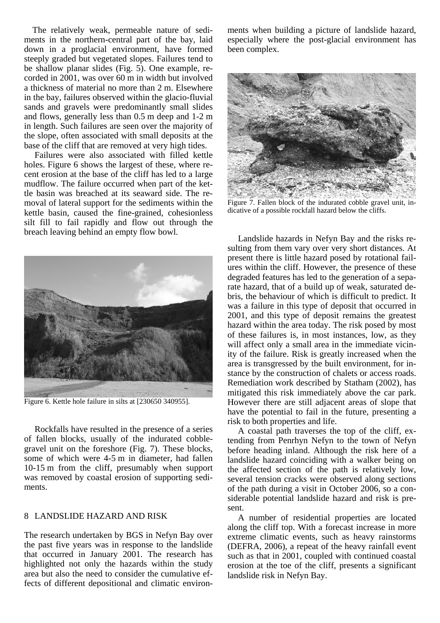The relatively weak, permeable nature of sediments in the northern-central part of the bay, laid down in a proglacial environment, have formed steeply graded but vegetated slopes. Failures tend to be shallow planar slides (Fig. 5). One example, recorded in 2001, was over 60 m in width but involved a thickness of material no more than 2 m. Elsewhere in the bay, failures observed within the glacio-fluvial sands and gravels were predominantly small slides and flows, generally less than 0.5 m deep and 1-2 m in length. Such failures are seen over the majority of the slope, often associated with small deposits at the base of the cliff that are removed at very high tides.

Failures were also associated with filled kettle holes. Figure 6 shows the largest of these, where recent erosion at the base of the cliff has led to a large mudflow. The failure occurred when part of the kettle basin was breached at its seaward side. The removal of lateral support for the sediments within the kettle basin, caused the fine-grained, cohesionless silt fill to fail rapidly and flow out through the breach leaving behind an empty flow bowl.



Figure 6. Kettle hole failure in silts at [230650 340955].

Rockfalls have resulted in the presence of a series of fallen blocks, usually of the indurated cobblegravel unit on the foreshore (Fig. 7). These blocks, some of which were 4-5 m in diameter, had fallen 10-15 m from the cliff, presumably when support was removed by coastal erosion of supporting sediments.

# 8 LANDSLIDE HAZARD AND RISK

The research undertaken by BGS in Nefyn Bay over the past five years was in response to the landslide that occurred in January 2001. The research has highlighted not only the hazards within the study area but also the need to consider the cumulative effects of different depositional and climatic environments when building a picture of landslide hazard, especially where the post-glacial environment has been complex.



Figure 7. Fallen block of the indurated cobble gravel unit, indicative of a possible rockfall hazard below the cliffs.

Landslide hazards in Nefyn Bay and the risks resulting from them vary over very short distances. At present there is little hazard posed by rotational failures within the cliff. However, the presence of these degraded features has led to the generation of a separate hazard, that of a build up of weak, saturated debris, the behaviour of which is difficult to predict. It was a failure in this type of deposit that occurred in 2001, and this type of deposit remains the greatest hazard within the area today. The risk posed by most of these failures is, in most instances, low, as they will affect only a small area in the immediate vicinity of the failure. Risk is greatly increased when the area is transgressed by the built environment, for instance by the construction of chalets or access roads. Remediation work described by Statham (2002), has mitigated this risk immediately above the car park. However there are still adjacent areas of slope that have the potential to fail in the future, presenting a risk to both properties and life.

A coastal path traverses the top of the cliff, extending from Penrhyn Nefyn to the town of Nefyn before heading inland. Although the risk here of a landslide hazard coinciding with a walker being on the affected section of the path is relatively low, several tension cracks were observed along sections of the path during a visit in October 2006, so a considerable potential landslide hazard and risk is present.

A number of residential properties are located along the cliff top. With a forecast increase in more extreme climatic events, such as heavy rainstorms (DEFRA, 2006), a repeat of the heavy rainfall event such as that in 2001, coupled with continued coastal erosion at the toe of the cliff, presents a significant landslide risk in Nefyn Bay.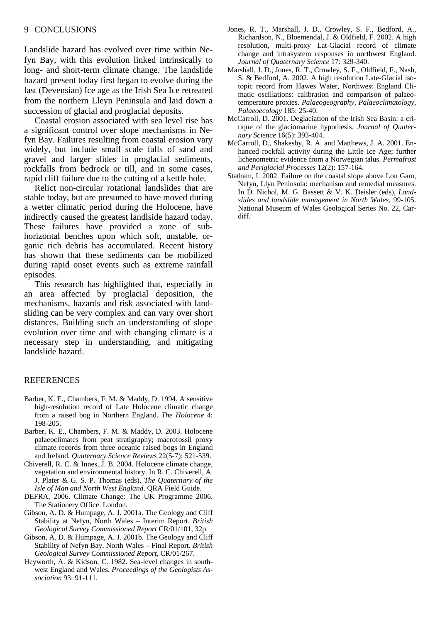Landslide hazard has evolved over time within Nefyn Bay, with this evolution linked intrinsically to long- and short-term climate change. The landslide hazard present today first began to evolve during the last (Devensian) Ice age as the Irish Sea Ice retreated from the northern Lleyn Peninsula and laid down a succession of glacial and proglacial deposits.

Coastal erosion associated with sea level rise has a significant control over slope mechanisms in Nefyn Bay. Failures resulting from coastal erosion vary widely, but include small scale falls of sand and gravel and larger slides in proglacial sediments, rockfalls from bedrock or till, and in some cases, rapid cliff failure due to the cutting of a kettle hole.

Relict non-circular rotational landslides that are stable today, but are presumed to have moved during a wetter climatic period during the Holocene, have indirectly caused the greatest landlside hazard today. These failures have provided a zone of subhorizontal benches upon which soft, unstable, organic rich debris has accumulated. Recent history has shown that these sediments can be mobilized during rapid onset events such as extreme rainfall episodes.

This research has highlighted that, especially in an area affected by proglacial deposition, the mechanisms, hazards and risk associated with landsliding can be very complex and can vary over short distances. Building such an understanding of slope evolution over time and with changing climate is a necessary step in understanding, and mitigating landslide hazard.

### REFERENCES

- Barber, K. E., Chambers, F. M. & Maddy, D. 1994. A sensitive high-resolution record of Late Holocene climatic change from a raised bog in Northern England. *The Holocene* 4: 198-205.
- Barber, K. E., Chambers, F. M. & Maddy, D. 2003. Holocene palaeoclimates from peat stratigraphy; macrofossil proxy climate records from three oceanic raised bogs in England and Ireland. *Quaternary Science Reviews* 22(5-7): 521-539.
- Chiverell, R. C. & Innes, J. B. 2004. Holocene climate change, vegetation and environmental history. In R. C. Chiverell, A. J. Plater & G. S. P. Thomas (eds), *The Quaternary of the Isle of Man and North West England*. QRA Field Guide.
- DEFRA, 2006. Climate Change: The UK Programme 2006. The Stationery Office. London.
- Gibson, A. D. & Humpage, A. J. 2001a. The Geology and Cliff Stability at Nefyn, North Wales – Interim Report. *British Geological Survey Commissioned Report* CR/01/101, 32p.
- Gibson, A. D. & Humpage, A. J. 2001b. The Geology and Cliff Stability of Nefyn Bay, North Wales – Final Report. *British Geological Survey Commissioned Report*, CR/01/267.
- Heyworth, A. & Kidson, C. 1982. Sea-level changes in southwest England and Wales. *Proceedings of the Geologists Association* 93: 91-111.
- Jones, R. T., Marshall, J. D., Crowley, S. F., Bedford, A., Richardson, N., Bloemendal, J. & Oldfield, F. 2002. A high resolution, multi-proxy Lat-Glacial record of climate change and intrasystem responses in northwest England. *Journal of Quaternary Science* 17: 329-340.
- Marshall, J. D., Jones, R. T., Crowley, S. F., Oldfield, F., Nash, S. & Bedford, A. 2002. A high resolution Late-Glacial isotopic record from Hawes Water, Northwest England Climatic oscillations: calibration and comparison of palaeotemperature proxies. *Palaeogeography, Palaeoclimatology, Palaeoecology* 185: 25-40.
- McCarroll, D. 2001. Deglaciation of the Irish Sea Basin: a critique of the glaciomarine hypothesis. *Journal of Quaternary Science* 16(5): 393-404.
- McCarroll, D., Shakesby, R. A. and Matthews, J. A. 2001. Enhanced rockfall activity during the Little Ice Age; further lichenometric evidence from a Norwegian talus. *Permafrost and Periglacial Processes* 12(2): 157-164.
- Statham, I. 2002. Failure on the coastal slope above Lon Gam, Nefyn, Llyn Peninsula: mechanism and remedial measures. In D. Nichol, M. G. Bassett & V. K. Deisler (eds), *Landslides and landslide management in North Wales*, 99-105. National Museum of Wales Geological Series No. 22, Cardiff.